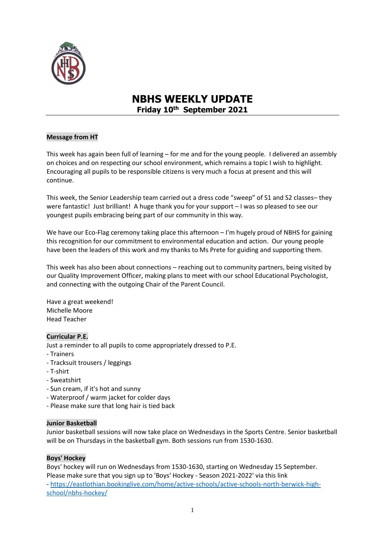

# **NBHS WEEKLY UPDATE Friday 10th September 2021**

# **Message from HT**

This week has again been full of learning – for me and for the young people. I delivered an assembly on choices and on respecting our school environment, which remains a topic I wish to highlight. Encouraging all pupils to be responsible citizens is very much a focus at present and this will continue.

This week, the Senior Leadership team carried out a dress code "sweep" of S1 and S2 classes– they were fantastic! Just brilliant! A huge thank you for your support - I was so pleased to see our youngest pupils embracing being part of our community in this way.

We have our Eco-Flag ceremony taking place this afternoon - I'm hugely proud of NBHS for gaining this recognition for our commitment to environmental education and action. Our young people have been the leaders of this work and my thanks to Ms Prete for guiding and supporting them.

This week has also been about connections – reaching out to community partners, being visited by our Quality Improvement Officer, making plans to meet with our school Educational Psychologist, and connecting with the outgoing Chair of the Parent Council.

Have a great weekend! Michelle Moore Head Teacher

## **Curricular P.E.**

Just a reminder to all pupils to come appropriately dressed to P.E.

- Trainers
- Tracksuit trousers / leggings
- T-shirt
- Sweatshirt
- Sun cream, if it's hot and sunny
- Waterproof / warm jacket for colder days
- Please make sure that long hair is tied back

## **Junior Basketball**

Junior basketball sessions will now take place on Wednesdays in the Sports Centre. Senior basketball will be on Thursdays in the basketball gym. Both sessions run from 1530-1630.

## **Boys' Hockey**

Boys' hockey will run on Wednesdays from 1530-1630, starting on Wednesday 15 September. Please make sure that you sign up to 'Boys' Hockey - Season 2021-2022' via this link - [https://eastlothian.bookinglive.com/home/active-schools/active-schools-north-berwick-high](https://eastlothian.bookinglive.com/home/active-schools/active-schools-north-berwick-high-school/nbhs-hockey/)[school/nbhs-hockey/](https://eastlothian.bookinglive.com/home/active-schools/active-schools-north-berwick-high-school/nbhs-hockey/)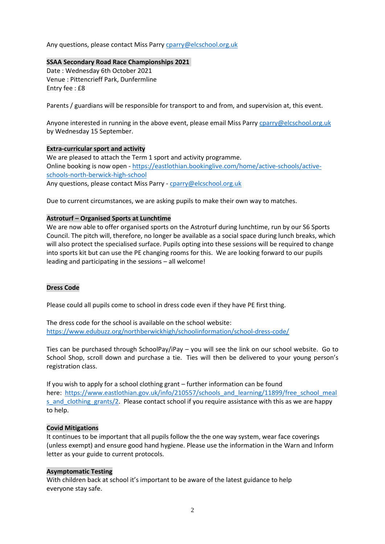Any questions, please contact Miss Parr[y cparry@elcschool.org.uk](mailto:cparry@elcschool.org.uk)

#### **SSAA Secondary Road Race Championships 2021**

Date : Wednesday 6th October 2021 Venue : Pittencrieff Park, Dunfermline Entry fee : £8

Parents / guardians will be responsible for transport to and from, and supervision at, this event.

Anyone interested in running in the above event, please email Miss Parry [cparry@elcschool.org.uk](mailto:cparry@elcschool.org.uk) by Wednesday 15 September.

## **Extra-curricular sport and activity**

We are pleased to attach the Term 1 sport and activity programme. Online booking is now open - [https://eastlothian.bookinglive.com/home/active-schools/active](https://eastlothian.bookinglive.com/home/active-schools/active-schools-north-berwick-high-school)[schools-north-berwick-high-school](https://eastlothian.bookinglive.com/home/active-schools/active-schools-north-berwick-high-school) Any questions, please contact Miss Parry - [cparry@elcschool.org.uk](mailto:cparry@elcschool.org.uk)

Due to current circumstances, we are asking pupils to make their own way to matches.

# **Astroturf – Organised Sports at Lunchtime**

We are now able to offer organised sports on the Astroturf during lunchtime, run by our S6 Sports Council. The pitch will, therefore, no longer be available as a social space during lunch breaks, which will also protect the specialised surface. Pupils opting into these sessions will be required to change into sports kit but can use the PE changing rooms for this. We are looking forward to our pupils leading and participating in the sessions – all welcome!

## **Dress Code**

Please could all pupils come to school in dress code even if they have PE first thing.

The dress code for the school is available on the school website: [https://www.edubuzz.org/northberwickhigh/schoolinformation/school-dress-code/](http://email.groupcallalert.com/ls/click?upn=QrOBJcca7DQpcdTvZvGK8bdwWm4YaVB8TN5G4CE2r-2Fz8jfRlgyBR-2BTyrT7tzki2tePBOv-2FML-2BbNtrG71sWszsUkvo62gHsLOX8ynP-2F2rfzonhyg-2FGBgFps0klMZMQcPB7hOF_DP9rNqXErB-2Bamsn0-2BYsNRfTwBEw8JlJLeunoRz-2BUoJ13VmiNgW7XHgMt-2BMcN9BLx4umJ32SPhLt1JPKngrzqfxuaZmDCMxmoW4MNutSdlYwCi83yoEEsA5eK8Gun83-2BlglKryEVoRz8gWNNF8nRQbS98PRZb-2FQFc2IT6zDzFKLwmf0RkEJ9-2B3MeHYX-2FsvkhbykOnU2SDf43dqWIyshnRVs1I8mg8GnlI7wD6DnDmkqchLjoK1CRjpHZg1EHrgExFe7KmtGML7vERSQpFYYuH-2BEKiGKNqeetKRZ3ARezDI5QDiFdp5ZTFaxAxG6pHvACVP4PQ3g6afIau01uvpUNQ5oGCIMxoIeDiWm34ZmsofDmbxMaNUYlgleY3zcyIxlCwfEGHyok3-2FVlWESnQLWPGZYhYtlQfONbuhv2kXtkzRJM-3D)

Ties can be purchased through SchoolPay/iPay – you will see the link on our school website. Go to School Shop, scroll down and purchase a tie. Ties will then be delivered to your young person's registration class.

If you wish to apply for a school clothing grant – further information can be found here: [https://www.eastlothian.gov.uk/info/210557/schools\\_and\\_learning/11899/free\\_school\\_meal](http://email.groupcallalert.com/ls/click?upn=QrOBJcca7DQpcdTvZvGK8Q3LigjI-2BDK6Jz8dNjwkxNDyVEI1SdbDQFk3hwWco1vqwo0q0NAycjGjuMVeqQNplt2pTyz8ol4zBPzc9a1mvcGYm6e-2FJZ4hsmKTkUrOkVzT07rtmFeidaee3iGlcs6QNaUk9-2FLEKp02by162eyfITo-3DMmAe_DP9rNqXErB-2Bamsn0-2BYsNRfTwBEw8JlJLeunoRz-2BUoJ13VmiNgW7XHgMt-2BMcN9BLx4umJ32SPhLt1JPKngrzqfxuaZmDCMxmoW4MNutSdlYwCi83yoEEsA5eK8Gun83-2BlglKryEVoRz8gWNNF8nRQbS98PRZb-2FQFc2IT6zDzFKLwmf0RkEJ9-2B3MeHYX-2FsvkhbykOnU2SDf43dqWIyshnRVs1I8mg8GnlI7wD6DnDmkqchLjoK1CRjpHZg1EHrgExFe7KmtGML7vERSQpFYYuH-2BOKO8Z0Rvfwt3xtZ97AWqw4L8UxFp8xQXxAc8-2Ft4qmr2NR9vmzYg7j5f0ebzb0UrXXB6R-2BpwcIAC8vla9VaVv-2FCESloqaI2NPEvNmkGw-2B6Rgcr0ILl0m1tBE-2F79GQmbt7I8lHcpUPUJz1R1Gk9V7UQo-3D) s and clothing grants/2. Please contact school if you require assistance with this as we are happy to help.

## **Covid Mitigations**

It continues to be important that all pupils follow the the one way system, wear face coverings (unless exempt) and ensure good hand hygiene. Please use the information in the Warn and Inform letter as your guide to current protocols.

## **Asymptomatic Testing**

With children back at school it's important to be aware of the latest guidance to help everyone stay safe.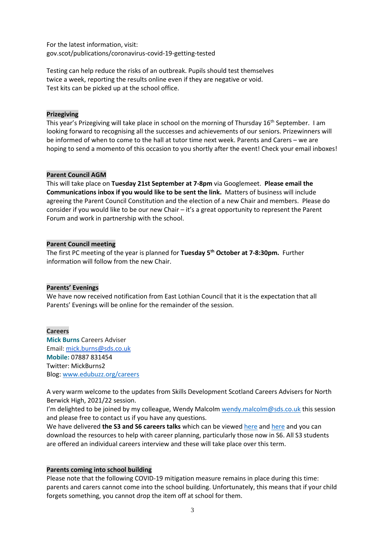For the latest information, visit: <gov.scot/publications/coronavirus-covid-19-getting-tested>

Testing can help reduce the risks of an outbreak. Pupils should test themselves twice a week, reporting the results online even if they are negative or void. Test kits can be picked up at the school office.

#### **Prizegiving**

This year's Prizegiving will take place in school on the morning of Thursday 16<sup>th</sup> September. I am looking forward to recognising all the successes and achievements of our seniors. Prizewinners will be informed of when to come to the hall at tutor time next week. Parents and Carers – we are hoping to send a momento of this occasion to you shortly after the event! Check your email inboxes!

#### **Parent Council AGM**

This will take place on **Tuesday 21st September at 7-8pm** via Googlemeet. **Please email the Communications inbox if you would like to be sent the link.** Matters of business will include agreeing the Parent Council Constitution and the election of a new Chair and members. Please do consider if you would like to be our new Chair – it's a great opportunity to represent the Parent Forum and work in partnership with the school.

#### **Parent Council meeting**

The first PC meeting of the year is planned for **Tuesday 5th October at 7-8:30pm.** Further information will follow from the new Chair.

#### **Parents' Evenings**

We have now received notification from East Lothian Council that it is the expectation that all Parents' Evenings will be online for the remainder of the session.

**Careers Mick Burns** Careers Adviser Email: [mick.burns@sds.co.uk](https://mail.elcschool.org.uk/owa/redir.aspx?C=fbGa3DGVrsUoQB2CnJP23eXwMGzxu7J1CtarT6dTOwkq_NlpJujXCA..&URL=mailto%3amick.burns%40sds.co.uk) **Mobile:** 07887 831454 Twitter: MickBurns2 Blog: [www.edubuzz.org/careers](http://www.edubuzz.org/careers)

A very warm welcome to the updates from Skills Development Scotland Careers Advisers for North Berwick High, 2021/22 session.

I'm delighted to be joined by my colleague, Wendy Malcolm [wendy.malcolm@sds.co.uk](mailto:wendy.malcolm@sds.co.uk) this session and please free to contact us if you have any questions.

We have delivered the S3 and S6 careers talks which can be viewe[d here](https://www.edubuzz.org/careers/2021/05/12/s3-careers-talk-june-2021/) and [here](https://www.edubuzz.org/careers/2021/06/10/s6-careers-talk-june-2021/) and you can download the resources to help with career planning, particularly those now in S6. All S3 students are offered an individual careers interview and these will take place over this term.

#### **Parents coming into school building**

Please note that the following COVID-19 mitigation measure remains in place during this time: parents and carers cannot come into the school building. Unfortunately, this means that if your child forgets something, you cannot drop the item off at school for them.